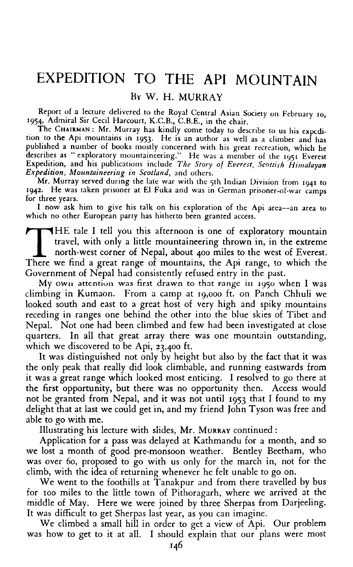## EXPEDITION TO THE API MOUNTAIN

BY W. H. MURRAY

Report of a lecture delivered to the Royal Central Asian Society on February 10, **1954,** Admiral Sir Cecil Harcourt, K.C.B., C.R.E., in the chair.

The CHAIRMAN : Mr. Murray has kindly come today to describe to us his expedition to the Api mountains in 1953. He is an author as well as a climber and has published a number of books mostly concerned with his great recreation, which he describes as " exploratory mountaineering." He was a member of the 1951 Everest Expedition, and his publications include *Thr Story of Evrrrst, Scottish Hitualayan Expedition, Morrntaineering in Scotfund,* and others.

Mr. Murray served during the late war with the 5th Indian Llivision from **1941** to **1942.** He was taken prisoner at El Fuka and was in German prisoner-of-war camps for three years.

I now ask him to give his talk on his exploration of the Api area-an area to which no other European party has hitherto been granted access.

THE tale I tell you this afternoon is one of exploratory mountain travel, with only a little mountaineering thrown in, in the extreme north-west corner of Nepal, about 400 miles to the west of Everest. There we find a grea travel, with only a little mountaineering thrown in, in the extreme north-west corner of Nepal, about 400 miles to the west of Everest. Government of Nepal had consistently refused entry in the past.

My ow11 attcntiun **was first** drawn to **that rangc ill 1950** when I was climbing in Kumaon. From a camp at 19,000 ft. on Panch Chhuli we looked south and east to a great host of very high and spiky mountains receding in ranges one behind the other into the blue skies of Tibet and Nepal. Not one had been climbed and few had been investigated at close quarters. In all that great array there was one mountain outstanding, which we discovered to be Api, 23,400 ft.

It was distinguished not only by height but also by the fact that it was the only peak that really did look climbable, and running eastwards from it was a great range which looked most enticing. I resolved to go there at the first opportunity, but there was no opportunity then. Access would not be granted from Nepal, and it was not until **1953** that I found to my delight that at last we could get in, and my friend John Tyson was free and able to go with me.

Illustrating his lecture with slides, Mr. **MURRAY** continued :

Application for a pass was delayed at Kathmandu for a month, and so we lost a month of good pre-monsoon weather. Bentley Beetham, who was over 60, proposed to go with us only for the march in, not for the climb, with the idea of returning whenever he felt unable to go on.

We went to the foothills at Tanakpur and from there travelled by bus for IOO miles to the little town of Pithoragarh, where we arrived at the middle of May. Here we were joined by three Sherpas from Darjeeling. It was difficult to get Sherpas last year, as you can imagine.

We climbed a small hill in order to get a view of Api. Our problem was how to get to it at all. I should explain that our plans were most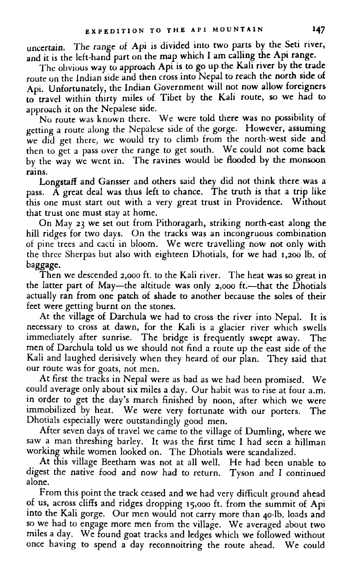uncertain. The range of Api is divided into two parts by the Seti river, and it is the left-hand part on the map which I am calling the Api range.

The obvious way to approach Api is to go up the Kali river by the trade route on the Indian side and then cross into Nepal to reach the north side of Api. Unfortunately, the Indian Government will not now allow foreigners to travel within thirty miles of Tibet by the Kali route, **SO** we had to approach it on the Nepalese side.

No route was known there. We were told there was no possibility of getting a route along the Nepalese side of the gorge. However, assuming we did get there, we would try to climb from the north-west side and then to get a pass over the range to get south. We could not come back by the way we went in. The ravines would be flooded by the monsoon rains.

Longstaff and Gansser and others said they did not think there was a pass.  $\overline{A}$  great deal was thus left to chance. The truth is that a trip like this one must start out with a very great trust in Providence. Without that trust one must stay at home.

On May 23 we set out from I'ithoragarh, striking north-east along the hill ridges for two days. On the tracks was an incongruous combination of pine trees and cacti in bloom. We were travelling now not only with the three Sherpas but also with eighteen Dhotials, for we had 1,200 lb. of baggage.

Then we descended 2,000 ft. to the Kali river. The heat was so great in the latter part of May—the altitude was only  $2,000$  ft.—that the Dhotials actually ran from one patch of shade to another because the soles of their feet were getting burnt on the stones.

At the village of Darchula we had to cross the river into Nepal. It is necessary to cross at dawn, for the Kali is a glacier river which swells immediately after sunrise. The bridge is frequently swept away. The men of Darchula told us we should not find a route up the east side of the Kali and laughed derisively when they heard of our plan. They said that our route was for goats, not men.

At first the tracks in Nepal were as bad as we had been promised. We could average only about six miles a day. Our habit was to rise at four a.m. in order to get the day's march finished by noon, after which we were immobilized by heat. We were very fortunate with our porters. The Dhotials especially were outstandingly good men.

After seven days of travel we came to the village of Dumling, where we saw a man threshing barley. It was the first time 1 had seen a hillman working while women looked on. The Dhotials were scandalized.

At this village Beetham was not at all well. He had been unable to digest the native food and now had to return. Tyson and I continued alone.

From this point the track ceased and we had very difficult ground ahead of us, across cliffs and ridges dropping 15,ooo ft. from the summit of Api into the Kali gorge. Our men would not carry more than 40-lb. loads and so we had to engage more men from the village. We averaged about two miles a day. We found goat tracks and ledges which we followed without once having to spend a day reconnoitring the route ahead. We could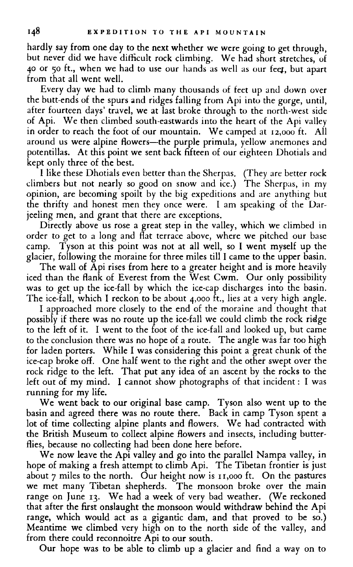hardly say from one day to the next whether we were going to get through, but never did we have difficult rock climbing. We had short stretches, of 40 or 50 ft., when we had to use our hands as well as our feet, but apart from that all went well.

Every day we had to climb many thousands of feet up and down over the butt-ends of the spurs and ridges falling from Api into the gorge, until, after fourteen days' travel, we at last broke through to the north-west side of Api. We then climbed south-eastwards into the heart of the Api valley in order to reach the foot of our mountain. We camped at 12,000 ft. All around us were alpine flowers-the purple primula, yellow anemones and potentillas. At this point we sent back fifteen of our eighteen Dhotials and kept only three of the best.

1 like these Dhotials even better than the Sherpas. (They are better rock climbers but not nearly so good on snow and ice.) The Sherpas, in my opinion, are becoming spoilt by the big expeditions and are anything but the thrifty and honest men they once were. I am speaking of the Darjeeling men, and grant that there are exceptions.

Directly above us rose a great step in the valley, which we climbed in order to get to a long and flat terrace above, where we pitched our base camp. Tyson at this point was not at all well, so I went myself up the glacier, following the moraine for three miles till I came to the upper basin.

The wall of Api rises from here to a greater height and is more heavily iced than the flank of Everest from the West Cwm. Our only possibility was to get up the ice-fall by which the ice-cap discharges into the basin. The ice-fall, which I reckon to be about 4,000 ft., lies at a very high angle.

I approached more closely to the end of the moraine and thought that possibly if there was no route up the ice-fall we could climb the rock ridge to the left of it. I went to the foot of the ice-fall and looked up, but came to the conclusion there was no hope of a route. The angle was far too high for laden porters. While I was considering this point a great chunk of the ice-cap broke off. One half went to the right and the other swept over the rock ridge to the left. That put any idea of an ascent by the rocks to the left out of my mind. I cannot show photographs of that incident : I was running for my life.

We went back to our original base camp. Tyson also went up to the basin and agreed there was no route there. Back in camp Tyson spent a lot of time collecting alpine plants and flowers. We had contracted with the British Museum to collect alpine flowers and insects, including butterflies, because no collecting had been done here before.

We now leave the Api valley and go into the parallel Nampa valley, in hope of making a fresh attempt to climb Api. The Tibetan frontier is just about 7 miles to the north. Our height now is 11,000 ft. On the pastures we met many Tibetan shepherds. The monsoon broke over the main range on June **13.** We had a week of very bad weather. (We reckoned that after the first onslaught the monsoon would withdraw behind the Api range, which would act as a gigantic dam, and that proved to be so.) Meantime we climbed very high on to the north side of the valley, and from there could reconnoitre Api to our south.

Our hope was to be able to climb up a glacier and find a way on to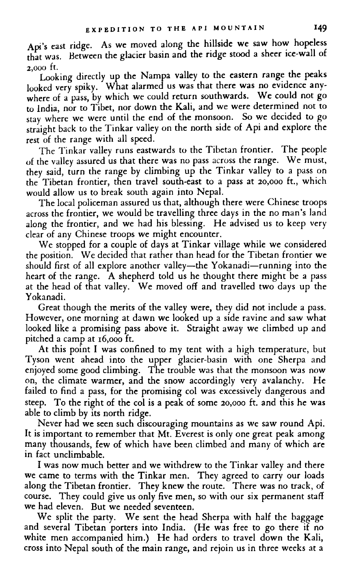Api's east ridge. As we moved along the hillside we saw how hopeless that was. Between the glacier basin and the ridge stood a sheer ice-wall of 2,000 ft.

Looking directly up the Nampa valley to the eastern range the peaks looked very spiky. What alarmed us was that there was no evidence anywhere of a pass, by which we could return southwards. We could not go to India, nor to Tibet, nor down the Kali, and we were determined not to stay where we were until the end of the monsoon. So we decided to go straight back to the Tinkar valley on the north side of Api and explore the rest of the range with all speed.

'The Tinkar valley runs eastwards to the Tibetan frontier. The people **of** the valley assured us that there was no pass across the range. We must, they said, turn the range by climbing up the Tinkar valley to a pass on the Tibetan frontier, then travel south-east to a pass at 20,000 ft., which would allow us to break south again into Nepal.

The local policeman assured us that, although there were Chinese troops across the frontier, we would be travelling three days in the no man's land along the frontier, and we had his blessing. He advised us to keep very clear of any Chinese troops we might encounter.

We stopped for a couple of days at Tinkar village while we considered the position. We decided that rather than head for the Tibetan frontier we should first of all explore another valley-the Yokanadi-running into the heart of the range. A shepherd told us he thought there might be a pass at the head of that valley. We moved off and travelled two days up the Yokanadi.

Great though the merits of the valley were, they did not include a pass. However, one morning at dawn we looked up a side ravine and saw what looked like a promising pass above it. Straight away we climbed up and pitched a camp at 16,000 ft.

At this point I was confined to my tent with a high temperature, but Tyson went ahead into the upper glacier-basin with one Sherpa and enjoyed some good climbing. The trouble was that the monsoon was now on, the climate warmer, and the snow accordingly very avalanchy. He failed to find a pass, for the promising col was excessively dangerous and steep. To the right of the col is a peak of some 20,000 ft. and this he was able to climb by its north ridge.

Never had we seen such discouraging mountains as we saw round Api. It is important to remember that Mt. Everest is only one great peak among many thousands, few of which have been climbed and many of which are in fact unclimbable.

I was now much better and we withdrew to the Tinkar valley and there we came to terms with the Tinkar men. They agreed to carry our loads along the Tibetan frontier. They knew the route. There was no track, of course. They could give us only five men, so with our six permanent staff we had eleven. But we needed seventeen.

We split the party. We sent the head Sherpa with half the baggage and several Tibetan porters into India. (He was free to go there if no white men accompanied him.) He had orders to travel down the Kali, cross into Nepal south of the main range, and rejoin us in three weeks at a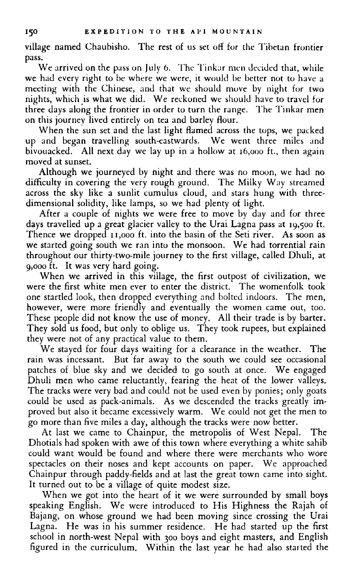village named Chaubisho. The rest of us set off for the Tibetan frontier pass.

We arrived on the pass on July 6. The Tinkar men decided that, while we had every right to be where we were, it would be better not to have a meeting with the Chinese, and that we should move by night for two nights, which is what we did. We reckoned we should have to travel for three days along the frontier in order to turn the range. The Tinkar men on this journey lived entirely on tea and barley flour.

When the sun set and the last light flamed across the tops, we packed up and began travelling south-eastwards. We went three miles and bivouacked. All next day we lay up in a hollow at 16,000 ft., then again moved at sunset.

Although we journeyed by night and there was no moon, wc had no difficulty in covering the very rough ground. The Milky Way streamed across the sky like a sunlit cumulus cloud, and stars hung with threedimensional solidity, like lamps, so we had plenty of light.

After a couple of nights we were free to move by day and for three days travelled up a great glacier valley to the Urai Lagna pass at 19,500 ft. Thence we dropped 11,000 ft. into the basin of the Seti river. As soon as we started going south we ran into the monsoon. We had torrential rain throughout our thirty-two-mile journey to the first village, called Dhuli, at 9,000 ft. It was very hard going.

When we arrived in this village, the first outpost of civilization, we were the first white men ever to enter the district. The womenfolk took one startled look, then dropped everything and bolted indoors. The men, however, were more friendly and eventually the women came out, too. These peop one startled look, then dropped everything and bolted indoors. The men, These people did not know the use of money. All their trade is by barter. They sold us food, but only to oblige us. They took rupees, but explained they were not of any practical value to them.

We stayed for four days waiting for a clearance in the weather. The rain was incessant. But far away to the south we could see occasiona1 patches of blue sky and we decided to go south at once. We engaged Dhuli men who came reluctantly, fearing the heat of the lower valleys. The tracks were very bad and could not be used even by ponies; only goats could be used as pack-animals. As we descended the tracks greatly improved but also it became excessively warm. We could not get the men to go more than five miles a day, although the tracks were now better.

At last we came to Chainpur, the metropolis of West Nepal. The Dhotials had spoken with awe of this town where everything a white sahib could want would be found and where there were merchants who wore spectacles on their noses and kept accounts on paper. We approached Chainpur through paddy-fields and at last the great town came into sight. It turned out to be a village of quite modest size.

When we got into the heart of it we were surrounded by small boys speaking English. We were introduced to His Highness the Rajah of Bajang, on whose ground we had been moving since crossing the Urai Lagna. He was in his summer residence. He had started up the first school in north-west Nepal with 300 boys and eight masters, and English figured in the curriculum. Within the last year he had also started the